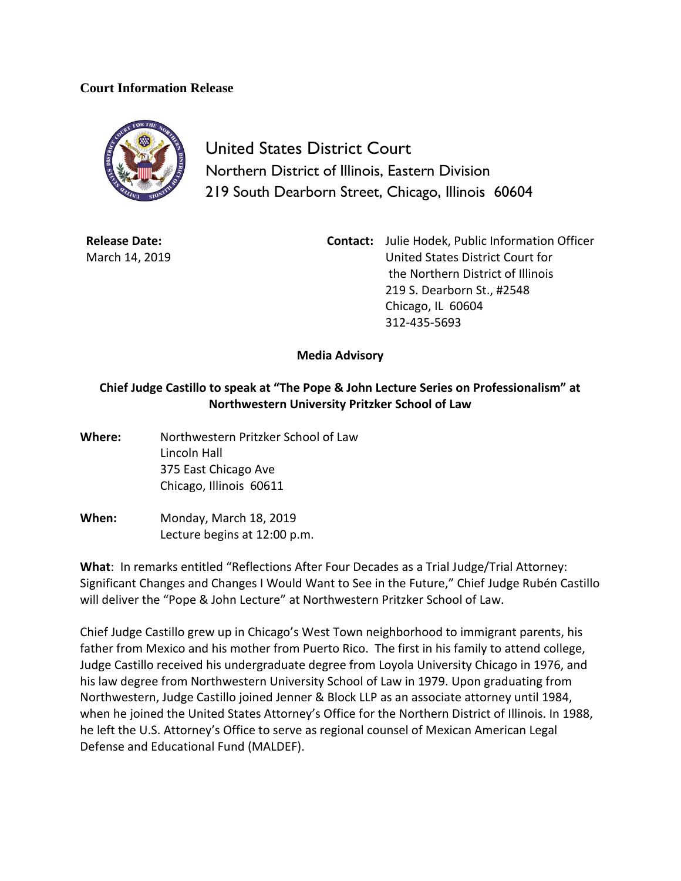## **Court Information Release**



United States District Court Northern District of Illinois, Eastern Division 219 South Dearborn Street, Chicago, Illinois 60604

**Release Date:** March 14, 2019 **Contact:** Julie Hodek, Public Information Officer United States District Court for the Northern District of Illinois 219 S. Dearborn St., #2548 Chicago, IL 60604 312-435-5693

**Media Advisory**

## **Chief Judge Castillo to speak at "The Pope & John Lecture Series on Professionalism" at Northwestern University Pritzker School of Law**

- **Where:** Northwestern Pritzker School of Law Lincoln Hall 375 East Chicago Ave Chicago, Illinois 60611
- **When:** Monday, March 18, 2019 Lecture begins at 12:00 p.m.

**What**: In remarks entitled "Reflections After Four Decades as a Trial Judge/Trial Attorney: Significant Changes and Changes I Would Want to See in the Future," Chief Judge Rubén Castillo will deliver the "Pope & John Lecture" at Northwestern Pritzker School of Law.

Chief Judge Castillo grew up in Chicago's West Town neighborhood to immigrant parents, his father from Mexico and his mother from Puerto Rico. The first in his family to attend college, Judge Castillo received his undergraduate degree from Loyola University Chicago in 1976, and his law degree from Northwestern University School of Law in 1979. Upon graduating from Northwestern, Judge Castillo joined Jenner & Block LLP as an associate attorney until 1984, when he joined the United States Attorney's Office for the Northern District of Illinois. In 1988, he left the U.S. Attorney's Office to serve as regional counsel of Mexican American Legal Defense and Educational Fund (MALDEF).